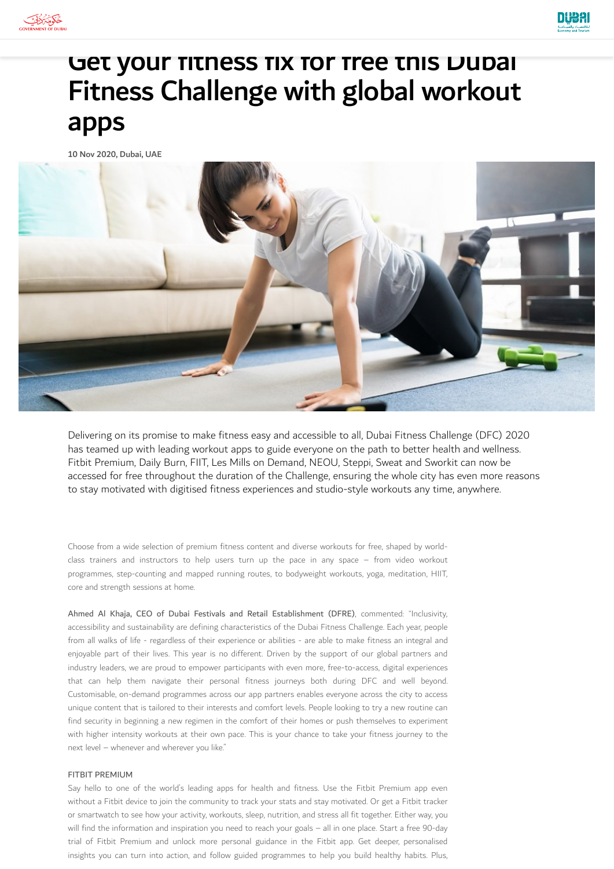



# Get your fitness fix for free this Dubai Fitness Challenge with global workout apps

10 Nov 2020, Dubai, UAE



Delivering on its promise to make fitness easy and accessible to all, Dubai Fitness Challenge (DFC) 2020 has teamed up with leading workout apps to guide everyone on the path to better health and wellness. Fitbit Premium, Daily Burn, FIIT, Les Mills on Demand, NEOU, Steppi, Sweat and Sworkit can now be accessed for free throughout the duration of the Challenge, ensuring the whole city has even more reasons to stay motivated with digitised fitness experiences and studio-style workouts any time, anywhere.

Choose from a wide selection of premium fitness content and diverse workouts for free, shaped by worldclass trainers and instructors to help users turn up the pace in any space – from video workout programmes, step-counting and mapped running routes, to bodyweight workouts, yoga, meditation, HIIT, core and strength sessions at home.

Ahmed Al Khaja, CEO of Dubai Festivals and Retail Establishment (DFRE), commented: "Inclusivity, accessibility and sustainability are defining characteristics of the Dubai Fitness Challenge. Each year, people from all walks of life - regardless of their experience or abilities - are able to make fitness an integral and enjoyable part of their lives. This year is no different. Driven by the support of our global partners and industry leaders, we are proud to empower participants with even more, free-to-access, digital experiences that can help them navigate their personal fitness journeys both during DFC and well beyond. Customisable, on-demand programmes across our app partners enables everyone across the city to access unique content that is tailored to their interests and comfort levels. People looking to try a new routine can find security in beginning a new regimen in the comfort of their homes or push themselves to experiment with higher intensity workouts at their own pace. This is your chance to take your fitness journey to the next level – whenever and wherever you like."

#### FITBIT PREMIUM

Say hello to one of the world's leading apps for health and fitness. Use the Fitbit Premium app even without a Fitbit device to join the community to track your stats and stay motivated. Or get a Fitbit tracker or smartwatch to see how your activity, workouts, sleep, nutrition, and stress all fit together. Either way, you will find the information and inspiration you need to reach your goals – all in one place. Start a free 90-day trial of Fitbit Premium and unlock more personal guidance in the Fitbit app. Get deeper, personalised insights you can turn into action, and follow guided programmes to help you build healthy habits. Plus,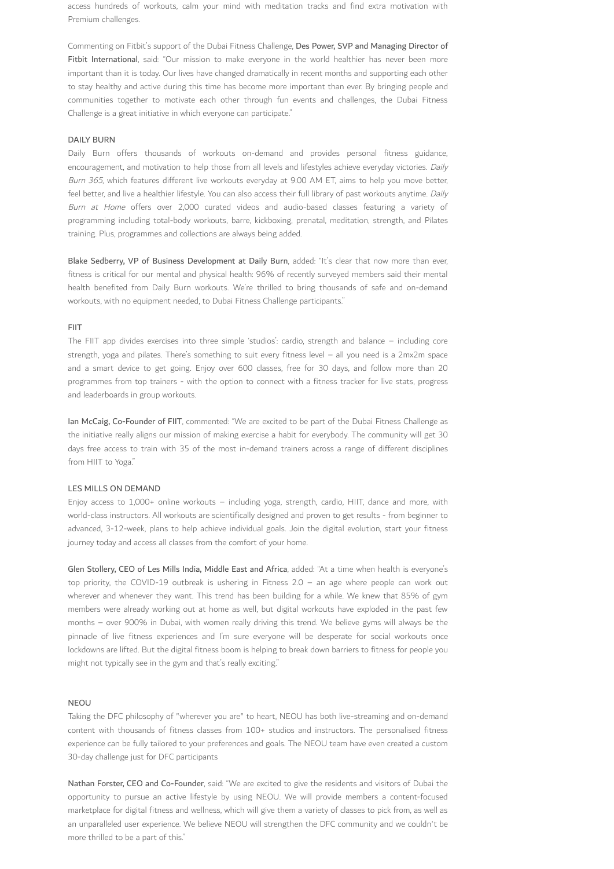access hundreds of workouts, calm your mind with meditation tracks and find extra motivation with Premium challenges.

Commenting on Fitbit's support of the Dubai Fitness Challenge, Des Power, SVP and Managing Director of Fitbit International, said: "Our mission to make everyone in the world healthier has never been more important than it is today. Our lives have changed dramatically in recent months and supporting each other to stay healthy and active during this time has become more important than ever. By bringing people and communities together to motivate each other through fun events and challenges, the Dubai Fitness Challenge is a great initiative in which everyone can participate."

# DAILY BURN

Daily Burn offers thousands of workouts on-demand and provides personal fitness guidance, encouragement, and motivation to help those from all levels and lifestyles achieve everyday victories. Daily Burn 365, which features different live workouts everyday at 9:00 AM ET, aims to help you move better, feel better, and live a healthier lifestyle. You can also access their full library of past workouts anytime. Daily Burn at Home offers over 2,000 curated videos and audio-based classes featuring a variety of programming including total-body workouts, barre, kickboxing, prenatal, meditation, strength, and Pilates training. Plus, programmes and collections are always being added.

Blake Sedberry, VP of Business Development at Daily Burn, added: "It's clear that now more than ever, fitness is critical for our mental and physical health: 96% of recently surveyed members said their mental health benefited from Daily Burn workouts. We're thrilled to bring thousands of safe and on-demand workouts, with no equipment needed, to Dubai Fitness Challenge participants."

#### FIIT

The FIIT app divides exercises into three simple 'studios': cardio, strength and balance – including core strength, yoga and pilates. There's something to suit every fitness level – all you need is a 2mx2m space and a smart device to get going. Enjoy over 600 classes, free for 30 days, and follow more than 20 programmes from top trainers - with the option to connect with a fitness tracker for live stats, progress and leaderboards in group workouts.

Ian McCaig, Co-Founder of FIIT, commented: "We are excited to be part of the Dubai Fitness Challenge as the initiative really aligns our mission of making exercise a habit for everybody. The community will get 30 days free access to train with 35 of the most in-demand trainers across a range of different disciplines from HIIT to Yoga."

#### LES MILLS ON DEMAND

Enjoy access to 1,000+ online workouts – including yoga, strength, cardio, HIIT, dance and more, with world-class instructors. All workouts are scientifically designed and proven to get results - from beginner to advanced, 3-12-week, plans to help achieve individual goals. Join the digital evolution, start your fitness journey today and access all classes from the comfort of your home.

Glen Stollery, CEO of Les Mills India, Middle East and Africa, added: "At a time when health is everyone's top priority, the COVID-19 outbreak is ushering in Fitness 2.0 – an age where people can work out wherever and whenever they want. This trend has been building for a while. We knew that 85% of gym members were already working out at home as well, but digital workouts have exploded in the past few months – over 900% in Dubai, with women really driving this trend. We believe gyms will always be the pinnacle of live fitness experiences and I'm sure everyone will be desperate for social workouts once lockdowns are lifted. But the digital fitness boom is helping to break down barriers to fitness for people you might not typically see in the gym and that's really exciting."

# NEOU

Taking the DFC philosophy of "wherever you are" to heart, NEOU has both live-streaming and on-demand content with thousands of fitness classes from 100+ studios and instructors. The personalised fitness experience can be fully tailored to your preferences and goals. The NEOU team have even created a custom 30-day challenge just for DFC participants

Nathan Forster, CEO and Co-Founder, said: "We are excited to give the residents and visitors of Dubai the opportunity to pursue an active lifestyle by using NEOU. We will provide members a content-focused marketplace for digital fitness and wellness, which will give them a variety of classes to pick from, as well as an unparalleled user experience. We believe NEOU will strengthen the DFC community and we couldn't be more thrilled to be a part of this."